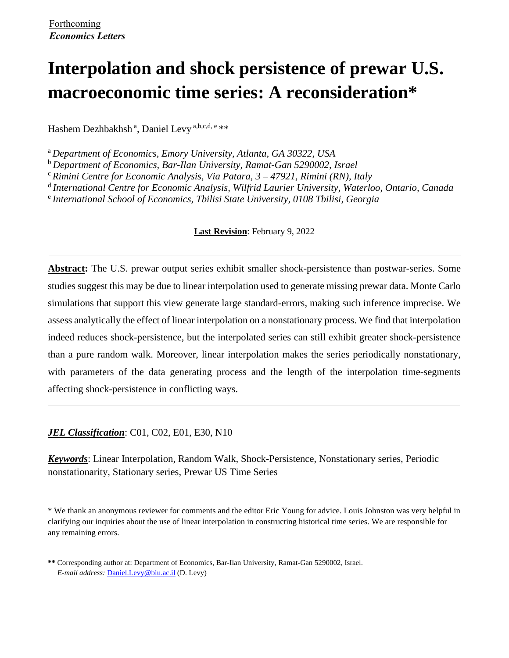# **Interpolation and shock persistence of prewar U.S. macroeconomic time series: A reconsideration\***

Hashem Dezhbakhsh<sup>a</sup>, Daniel Levy<sup>a,b,c,d, e</sup>\*\*

<sup>a</sup>*Department of Economics, Emory University, Atlanta, GA 30322, USA*

<sup>b</sup>*Department of Economics, Bar-Ilan University, Ramat-Gan 5290002, Israel*

<sup>c</sup>*Rimini Centre for Economic Analysis, Via Patara, 3 – 47921, Rimini (RN), Italy* 

<sup>d</sup>*International Centre for Economic Analysis, Wilfrid Laurier University, Waterloo, Ontario, Canada* 

<sup>e</sup>*International School of Economics, Tbilisi State University, 0108 Tbilisi, Georgia*

### **Last Revision**: February 9, 2022

**Abstract:** The U.S. prewar output series exhibit smaller shock-persistence than postwar-series. Some studies suggest this may be due to linear interpolation used to generate missing prewar data. Monte Carlo simulations that support this view generate large standard-errors, making such inference imprecise. We assess analytically the effect of linear interpolation on a nonstationary process. We find that interpolation indeed reduces shock-persistence, but the interpolated series can still exhibit greater shock-persistence than a pure random walk. Moreover, linear interpolation makes the series periodically nonstationary, with parameters of the data generating process and the length of the interpolation time-segments affecting shock-persistence in conflicting ways.

*JEL Classification*: C01, C02, E01, E30, N10

*Keywords*: Linear Interpolation, Random Walk, Shock-Persistence, Nonstationary series, Periodic nonstationarity, Stationary series, Prewar US Time Series

\* We thank an anonymous reviewer for comments and the editor Eric Young for advice. Louis Johnston was very helpful in clarifying our inquiries about the use of linear interpolation in constructing historical time series. We are responsible for any remaining errors.

**<sup>\*\*</sup>** Corresponding author at: Department of Economics, Bar-Ilan University, Ramat-Gan 5290002, Israel. *E-mail address:* [Daniel.Levy@biu.ac.il](mailto:Daniel.Levy@biu.ac.il) (D. Levy)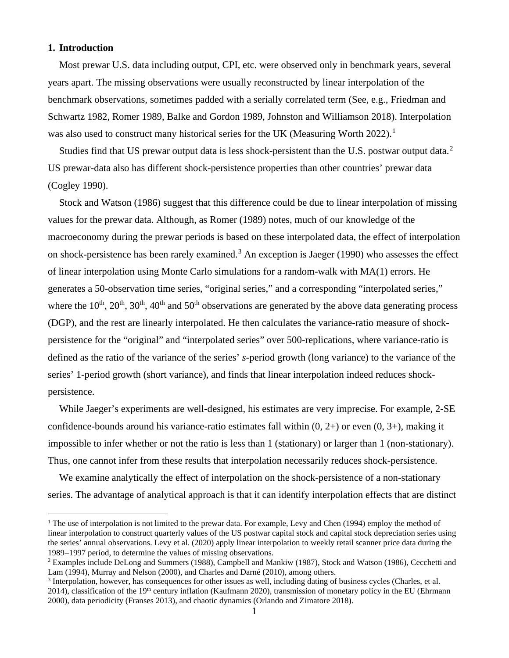#### **1. Introduction**

Most prewar U.S. data including output, CPI, etc. were observed only in benchmark years, several years apart. The missing observations were usually reconstructed by linear interpolation of the benchmark observations, sometimes padded with a serially correlated term (See, e.g., Friedman and Schwartz 1982, Romer 1989, Balke and Gordon 1989, Johnston and Williamson 2018). Interpolation was also used to construct many historical series for the UK (Measuring Worth 2022).<sup>[1](#page-1-0)</sup>

Studies find that US prewar output data is less shock-persistent than the U.S. postwar output data.<sup>[2](#page-1-1)</sup> US prewar-data also has different shock-persistence properties than other countries' prewar data (Cogley 1990).

Stock and Watson (1986) suggest that this difference could be due to linear interpolation of missing values for the prewar data. Although, as Romer (1989) notes, much of our knowledge of the macroeconomy during the prewar periods is based on these interpolated data, the effect of interpolation on shock-persistence has been rarely examined.<sup>[3](#page-1-2)</sup> An exception is Jaeger (1990) who assesses the effect of linear interpolation using Monte Carlo simulations for a random-walk with MA(1) errors. He generates a 50-observation time series, "original series," and a corresponding "interpolated series," where the  $10^{th}$ ,  $20^{th}$ ,  $30^{th}$ ,  $40^{th}$  and  $50^{th}$  observations are generated by the above data generating process (DGP), and the rest are linearly interpolated. He then calculates the variance-ratio measure of shockpersistence for the "original" and "interpolated series" over 500-replications, where variance-ratio is defined as the ratio of the variance of the series' *s*-period growth (long variance) to the variance of the series' 1-period growth (short variance), and finds that linear interpolation indeed reduces shockpersistence.

While Jaeger's experiments are well-designed, his estimates are very imprecise. For example, 2-SE confidence-bounds around his variance-ratio estimates fall within  $(0, 2+)$  or even  $(0, 3+)$ , making it impossible to infer whether or not the ratio is less than 1 (stationary) or larger than 1 (non-stationary). Thus, one cannot infer from these results that interpolation necessarily reduces shock-persistence.

We examine analytically the effect of interpolation on the shock-persistence of a non-stationary series. The advantage of analytical approach is that it can identify interpolation effects that are distinct

<span id="page-1-0"></span><sup>&</sup>lt;sup>1</sup> The use of interpolation is not limited to the prewar data. For example, Levy and Chen (1994) employ the method of linear interpolation to construct quarterly values of the US postwar capital stock and capital stock depreciation series using the series' annual observations. Levy et al. (2020) apply linear interpolation to weekly retail scanner price data during the 1989–1997 period, to determine the values of missing observations.<br><sup>2</sup> Examples include DeLong and Summers (1988), Campbell and Mankiw (1987), Stock and Watson (1986), Cecchetti and

<span id="page-1-1"></span>Lam (1994), Murray and Nelson (2000), and Charles and Darné (2010), among others.

<span id="page-1-2"></span><sup>&</sup>lt;sup>3</sup> Interpolation, however, has consequences for other issues as well, including dating of business cycles (Charles, et al. 2014), classification of the  $19<sup>th</sup>$  century inflation (Kaufmann 2020), transmission of monetary policy in the EU (Ehrmann 2000), data periodicity (Franses 2013), and chaotic dynamics (Orlando and Zimatore 2018).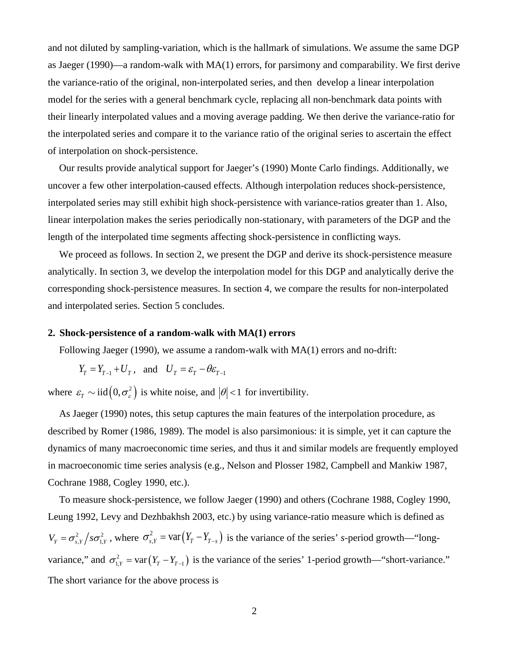and not diluted by sampling-variation, which is the hallmark of simulations. We assume the same DGP as Jaeger (1990)—a random-walk with MA(1) errors, for parsimony and comparability. We first derive the variance-ratio of the original, non-interpolated series, and then develop a linear interpolation model for the series with a general benchmark cycle, replacing all non-benchmark data points with their linearly interpolated values and a moving average padding. We then derive the variance-ratio for the interpolated series and compare it to the variance ratio of the original series to ascertain the effect of interpolation on shock-persistence.

Our results provide analytical support for Jaeger's (1990) Monte Carlo findings. Additionally, we uncover a few other interpolation-caused effects. Although interpolation reduces shock-persistence, interpolated series may still exhibit high shock-persistence with variance-ratios greater than 1. Also, linear interpolation makes the series periodically non-stationary, with parameters of the DGP and the length of the interpolated time segments affecting shock-persistence in conflicting ways.

We proceed as follows. In section 2, we present the DGP and derive its shock-persistence measure analytically. In section 3, we develop the interpolation model for this DGP and analytically derive the corresponding shock-persistence measures. In section 4, we compare the results for non-interpolated and interpolated series. Section 5 concludes.

#### **2. Shock-persistence of a random-walk with MA(1) errors**

Following Jaeger (1990), we assume a random-walk with MA(1) errors and no-drift:

$$
Y_T = Y_{T-1} + U_T
$$
, and  $U_T = \varepsilon_T - \theta \varepsilon_{T-1}$ 

where  $\varepsilon_r \sim \text{iid} \left( 0, \sigma_{\varepsilon}^2 \right)$  is white noise, and  $|\theta| < 1$  for invertibility.

As Jaeger (1990) notes, this setup captures the main features of the interpolation procedure, as described by Romer (1986, 1989). The model is also parsimonious: it is simple, yet it can capture the dynamics of many macroeconomic time series, and thus it and similar models are frequently employed in macroeconomic time series analysis (e.g., Nelson and Plosser 1982, Campbell and Mankiw 1987, Cochrane 1988, Cogley 1990, etc.).

To measure shock-persistence, we follow Jaeger (1990) and others (Cochrane 1988, Cogley 1990, Leung 1992, Levy and Dezhbakhsh 2003, etc.) by using variance-ratio measure which is defined as  $V_Y = \sigma_{s,Y}^2 / s \sigma_{1,Y}^2$ , where  $\sigma_{s,Y}^2 = \text{var}(Y_T - Y_{T-s})$  is the variance of the series' *s*-period growth—"longvariance," and  $\sigma_{1,Y}^2 = \text{var}(Y_T - Y_{T-1})$  is the variance of the series' 1-period growth—"short-variance." The short variance for the above process is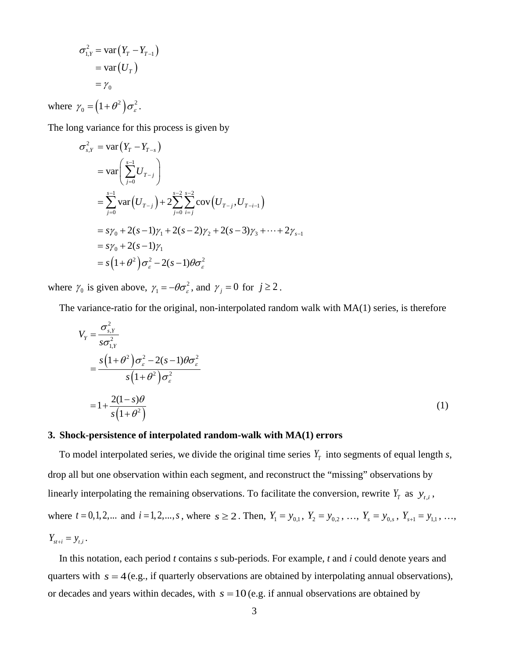$$
\sigma_{1,Y}^2 = \text{var}(Y_T - Y_{T-1})
$$

$$
= \text{var}(U_T)
$$

$$
= \gamma_0
$$

where  $\gamma_0 = (1 + \theta^2) \sigma_{\varepsilon}^2$ .

The long variance for this process is given by

$$
\sigma_{s,Y}^2 = \text{var}\left(Y_T - Y_{T-s}\right)
$$
  
=  $\text{var}\left(\sum_{j=0}^{s-1} U_{T-j}\right)$   
=  $\sum_{j=0}^{s-1} \text{var}\left(U_{T-j}\right) + 2 \sum_{j=0}^{s-2} \sum_{i=j}^{s-2} \text{cov}\left(U_{T-j}, U_{T-i-1}\right)$   
=  $s\gamma_0 + 2(s-1)\gamma_1 + 2(s-2)\gamma_2 + 2(s-3)\gamma_3 + \dots + 2\gamma_{s-1}$   
=  $s\gamma_0 + 2(s-1)\gamma_1$   
=  $s\left(1 + \theta^2\right)\sigma_{\varepsilon}^2 - 2(s-1)\theta\sigma_{\varepsilon}^2$ 

where  $\gamma_0$  is given above,  $\gamma_1 = -\theta \sigma_\varepsilon^2$ , and  $\gamma_j = 0$  for  $j \ge 2$ .

The variance-ratio for the original, non-interpolated random walk with MA(1) series, is therefore

$$
V_{Y} = \frac{\sigma_{s,Y}^{2}}{s\sigma_{1,Y}^{2}}
$$
  
= 
$$
\frac{s(1+\theta^{2})\sigma_{\varepsilon}^{2} - 2(s-1)\theta\sigma_{\varepsilon}^{2}}{s(1+\theta^{2})\sigma_{\varepsilon}^{2}}
$$
  
= 
$$
1 + \frac{2(1-s)\theta}{s(1+\theta^{2})}
$$
 (1)

#### **3. Shock-persistence of interpolated random-walk with MA(1) errors**

To model interpolated series, we divide the original time series  $Y_T$  into segments of equal length *s*, drop all but one observation within each segment, and reconstruct the "missing" observations by linearly interpolating the remaining observations. To facilitate the conversion, rewrite  $Y_T$  as  $y_{t,i}$ , where  $t = 0, 1, 2, ...$  and  $i = 1, 2, ..., s$ , where  $s \ge 2$ . Then,  $Y_1 = y_{0,1}$ ,  $Y_2 = y_{0,2}$ , ...,  $Y_s = y_{0,s}$ ,  $Y_{s+1} = y_{1,1}$ , ...,  $Y_{\rm s t+i} = y_{\rm t,i}$ .

In this notation, each period *t* contains *s* sub-periods. For example, *t* and *i* could denote years and quarters with  $s = 4$  (e.g., if quarterly observations are obtained by interpolating annual observations), or decades and years within decades, with  $s = 10$  (e.g. if annual observations are obtained by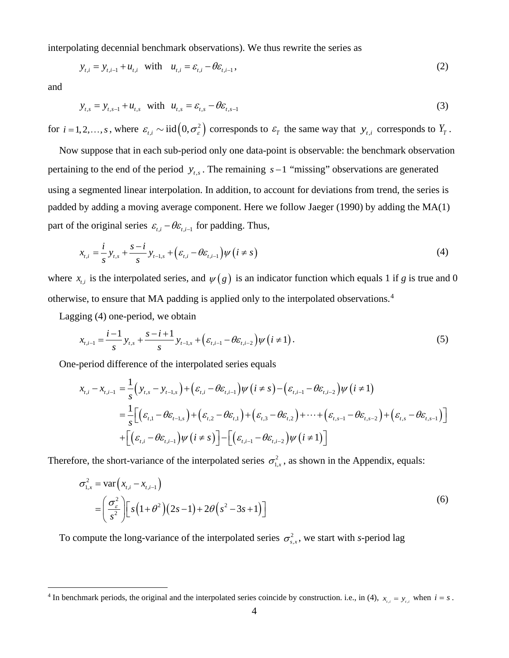interpolating decennial benchmark observations). We thus rewrite the series as

$$
y_{t,i} = y_{t,i-1} + u_{t,i} \text{ with } u_{t,i} = \varepsilon_{t,i} - \theta \varepsilon_{t,i-1},
$$
\n(2)

and

$$
y_{t,s} = y_{t,s-1} + u_{t,s} \quad \text{with} \quad u_{t,s} = \varepsilon_{t,s} - \theta \varepsilon_{t,s-1} \tag{3}
$$

for  $i = 1, 2, \ldots, s$ , where  $\varepsilon_{t,i} \sim \text{iid}\left(0, \sigma_{\varepsilon}^2\right)$  corresponds to  $\varepsilon_T$  the same way that  $y_{t,i}$  corresponds to  $Y_T$ .

Now suppose that in each sub-period only one data-point is observable: the benchmark observation pertaining to the end of the period  $y_{t,s}$ . The remaining  $s-1$  "missing" observations are generated using a segmented linear interpolation. In addition, to account for deviations from trend, the series is padded by adding a moving average component. Here we follow Jaeger (1990) by adding the MA(1) part of the original series  $\varepsilon_{t,i} - \theta \varepsilon_{t,i-1}$  for padding. Thus,

$$
x_{t,i} = \frac{i}{s} y_{t,s} + \frac{s-i}{s} y_{t-1,s} + \left(\varepsilon_{t,i} - \theta \varepsilon_{t,i-1}\right) \psi\left(i \neq s\right)
$$
\n
$$
\tag{4}
$$

where  $x_{i,j}$  is the interpolated series, and  $\psi(g)$  is an indicator function which equals 1 if *g* is true and 0 otherwise, to ensure that MA padding is applied only to the interpolated observations. [4](#page-4-0)

Lagging (4) one-period, we obtain

$$
x_{t,i-1} = \frac{i-1}{s} y_{t,s} + \frac{s-i+1}{s} y_{t-1,s} + \left(\varepsilon_{t,i-1} - \theta \varepsilon_{t,i-2}\right) \psi\left(i \neq 1\right). \tag{5}
$$

One-period difference of the interpolated series equals

$$
x_{t,i} - x_{t,i-1} = \frac{1}{s} (y_{t,s} - y_{t-1,s}) + (\varepsilon_{t,i} - \theta \varepsilon_{t,i-1}) \psi (i \neq s) - (\varepsilon_{t,i-1} - \theta \varepsilon_{t,i-2}) \psi (i \neq 1)
$$
  
= 
$$
\frac{1}{s} [(\varepsilon_{t,1} - \theta \varepsilon_{t-1,s}) + (\varepsilon_{t,2} - \theta \varepsilon_{t,1}) + (\varepsilon_{t,3} - \theta \varepsilon_{t,2}) + \dots + (\varepsilon_{t,s-1} - \theta \varepsilon_{t,s-2}) + (\varepsilon_{t,s} - \theta \varepsilon_{t,s-1})]
$$
  
+ 
$$
[(\varepsilon_{t,i} - \theta \varepsilon_{t,i-1}) \psi (i \neq s)] - [(\varepsilon_{t,i-1} - \theta \varepsilon_{t,i-2}) \psi (i \neq 1)]
$$

Therefore, the short-variance of the interpolated series  $\sigma_{1,x}^2$ , as shown in the Appendix, equals:

$$
\sigma_{1,x}^2 = \text{var}\left(x_{t,i} - x_{t,i-1}\right) \\
= \left(\frac{\sigma_{\varepsilon}^2}{s^2}\right) \left[ s\left(1+\theta^2\right) \left(2s-1\right) + 2\theta \left(s^2 - 3s + 1\right) \right] \tag{6}
$$

To compute the long-variance of the interpolated series  $\sigma_{s,x}^2$ , we start with *s*-period lag

<span id="page-4-0"></span><sup>&</sup>lt;sup>4</sup> In benchmark periods, the original and the interpolated series coincide by construction. i.e., in (4),  $x_{i,i} = y_{i,i}$  when  $i = s$ .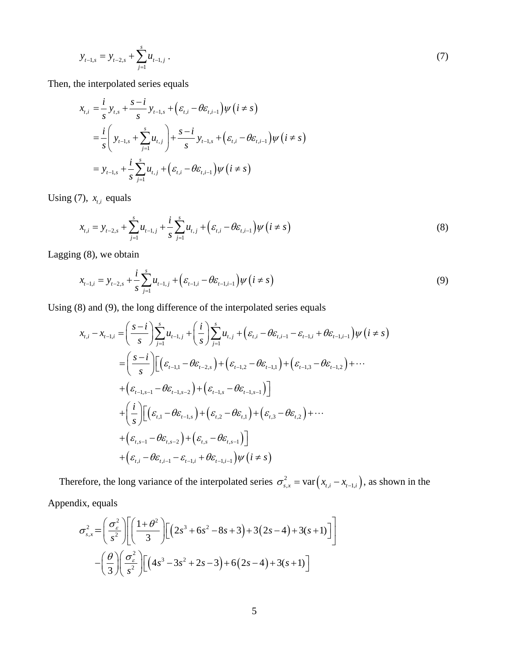$$
y_{t-1,s} = y_{t-2,s} + \sum_{j=1}^{s} u_{t-1,j} \tag{7}
$$

Then, the interpolated series equals

$$
x_{t,i} = \frac{i}{s} y_{t,s} + \frac{s - i}{s} y_{t-1,s} + (\varepsilon_{t,i} - \theta \varepsilon_{t,i-1}) \psi (i \neq s)
$$
  
=  $\frac{i}{s} \left( y_{t-1,s} + \sum_{j=1}^{s} u_{t,j} \right) + \frac{s - i}{s} y_{t-1,s} + (\varepsilon_{t,i} - \theta \varepsilon_{t,i-1}) \psi (i \neq s)$   
=  $y_{t-1,s} + \frac{i}{s} \sum_{j=1}^{s} u_{t,j} + (\varepsilon_{t,i} - \theta \varepsilon_{t,i-1}) \psi (i \neq s)$ 

Using  $(7)$ ,  $x_{t,i}$  equals

$$
x_{t,i} = y_{t-2,s} + \sum_{j=1}^{s} u_{t-1,j} + \frac{i}{s} \sum_{j=1}^{s} u_{t,j} + (\varepsilon_{t,i} - \theta \varepsilon_{t,i-1}) \psi (i \neq s)
$$
 (8)

Lagging (8), we obtain

$$
x_{t-1,i} = y_{t-2,s} + \frac{i}{s} \sum_{j=1}^{s} u_{t-1,j} + (\varepsilon_{t-1,i} - \theta \varepsilon_{t-1,i-1}) \psi (i \neq s)
$$
\n(9)

Using (8) and (9), the long difference of the interpolated series equals

$$
x_{t,i} - x_{t-1,i} = \left(\frac{s-i}{s}\right) \sum_{j=1}^{s} u_{t-1,j} + \left(\frac{i}{s}\right) \sum_{j=1}^{s} u_{t,j} + \left(\varepsilon_{t,i} - \theta \varepsilon_{t,i-1} - \varepsilon_{t-1,i} + \theta \varepsilon_{t-1,i-1}\right) \psi\left(i \neq s\right)
$$
  
\n
$$
= \left(\frac{s-i}{s}\right) \Big[ \left(\varepsilon_{t-1,1} - \theta \varepsilon_{t-2,s}\right) + \left(\varepsilon_{t-1,2} - \theta \varepsilon_{t-1,1}\right) + \left(\varepsilon_{t-1,3} - \theta \varepsilon_{t-1,2}\right) + \cdots
$$
  
\n
$$
+ \left(\varepsilon_{t-1,s-1} - \theta \varepsilon_{t-1,s-2}\right) + \left(\varepsilon_{t-1,s} - \theta \varepsilon_{t-1,s-1}\right) \Big]
$$
  
\n
$$
+ \left(\frac{i}{s}\right) \Big[ \left(\varepsilon_{t,1} - \theta \varepsilon_{t-1,s}\right) + \left(\varepsilon_{t,2} - \theta \varepsilon_{t,1}\right) + \left(\varepsilon_{t,3} - \theta \varepsilon_{t,2}\right) + \cdots
$$
  
\n
$$
+ \left(\varepsilon_{t,s-1} - \theta \varepsilon_{t,s-2}\right) + \left(\varepsilon_{t,s} - \theta \varepsilon_{t,s-1}\right) \Big]
$$
  
\n
$$
+ \left(\varepsilon_{t,i} - \theta \varepsilon_{t,i-1} - \varepsilon_{t-1,i} + \theta \varepsilon_{t-1,i-1}\right) \psi\left(i \neq s\right)
$$

Therefore, the long variance of the interpolated series  $\sigma_{s,x}^2 = \text{var}(x_{t,i} - x_{t-1,i})$ , as shown in the

Appendix, equals

$$
\sigma_{s,x}^{2} = \left(\frac{\sigma_{s}^{2}}{s^{2}}\right) \left[\left(\frac{1+\theta^{2}}{3}\right) \left[\left(2s^{3}+6s^{2}-8s+3\right)+3(2s-4)+3(s+1)\right]\right]
$$

$$
-\left(\frac{\theta}{3}\right) \left(\frac{\sigma_{s}^{2}}{s^{2}}\right) \left[\left(4s^{3}-3s^{2}+2s-3\right)+6(2s-4)+3(s+1)\right]
$$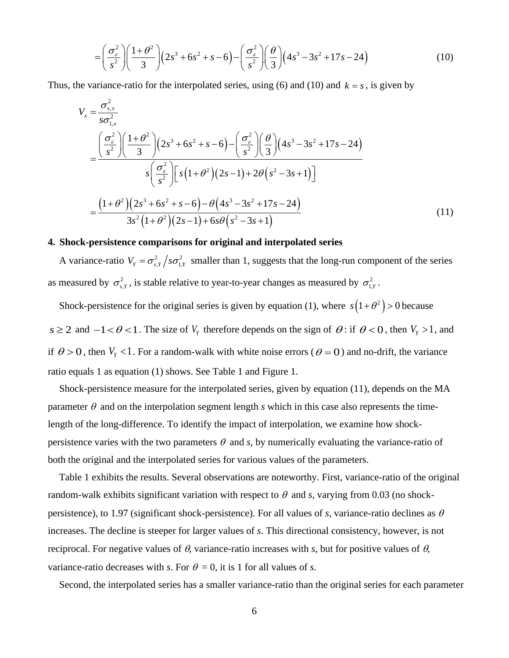$$
= \left(\frac{\sigma_{\varepsilon}^2}{s^2}\right) \left(\frac{1+\theta^2}{3}\right) \left(2s^3+6s^2+s-6\right) - \left(\frac{\sigma_{\varepsilon}^2}{s^2}\right) \left(\frac{\theta}{3}\right) \left(4s^3-3s^2+17s-24\right) \tag{10}
$$

Thus, the variance-ratio for the interpolated series, using (6) and (10) and  $k = s$ , is given by

$$
V_x = \frac{\sigma_{s,x}^2}{s\sigma_{1,x}^2}
$$
  
= 
$$
\frac{\left(\frac{\sigma_{s}^2}{s^2}\right)\left(\frac{1+\theta^2}{3}\right)\left(2s^3+6s^2+s-6\right)-\left(\frac{\sigma_{s}^2}{s^2}\right)\left(\frac{\theta}{3}\right)\left(4s^3-3s^2+17s-24\right)}{s\left(\frac{\sigma_{s}^2}{s^2}\right)\left[s\left(1+\theta^2\right)\left(2s-1\right)+2\theta\left(s^2-3s+1\right)\right]}
$$
  
= 
$$
\frac{\left(1+\theta^2\right)\left(2s^3+6s^2+s-6\right)-\theta\left(4s^3-3s^2+17s-24\right)}{3s^2\left(1+\theta^2\right)\left(2s-1\right)+6s\theta\left(s^2-3s+1\right)}
$$
(11)

### **4. Shock-persistence comparisons for original and interpolated series**

A variance-ratio  $V_Y = \frac{\sigma_{s,Y}^2}{s}$  *so*<sub>1,*y*</sub> smaller than 1, suggests that the long-run component of the series as measured by  $\sigma_{s}^2$ , is stable relative to year-to-year changes as measured by  $\sigma_{1,Y}^2$ .

Shock-persistence for the original series is given by equation (1), where  $s(1+\theta^2) > 0$  because *s* ≥ 2 and  $-1 < \theta < 1$ . The size of  $V_Y$  therefore depends on the sign of  $\theta$ : if  $\theta < 0$ , then  $V_Y > 1$ , and if  $\theta > 0$ , then  $V_y < 1$ . For a random-walk with white noise errors ( $\theta = 0$ ) and no-drift, the variance ratio equals 1 as equation (1) shows. See Table 1 and Figure 1.

Shock-persistence measure for the interpolated series, given by equation (11), depends on the MA parameter  $\theta$  and on the interpolation segment length *s* which in this case also represents the timelength of the long-difference. To identify the impact of interpolation, we examine how shockpersistence varies with the two parameters  $\theta$  and *s*, by numerically evaluating the variance-ratio of both the original and the interpolated series for various values of the parameters.

Table 1 exhibits the results. Several observations are noteworthy. First, variance-ratio of the original random-walk exhibits significant variation with respect to  $\theta$  and *s*, varying from 0.03 (no shockpersistence), to 1.97 (significant shock-persistence). For all values of *s*, variance-ratio declines as  $\theta$ increases. The decline is steeper for larger values of *s*. This directional consistency, however, is not reciprocal. For negative values of  $\theta$ , variance-ratio increases with *s*, but for positive values of  $\theta$ , variance-ratio decreases with *s*. For  $\theta = 0$ , it is 1 for all values of *s*.

Second, the interpolated series has a smaller variance-ratio than the original series for each parameter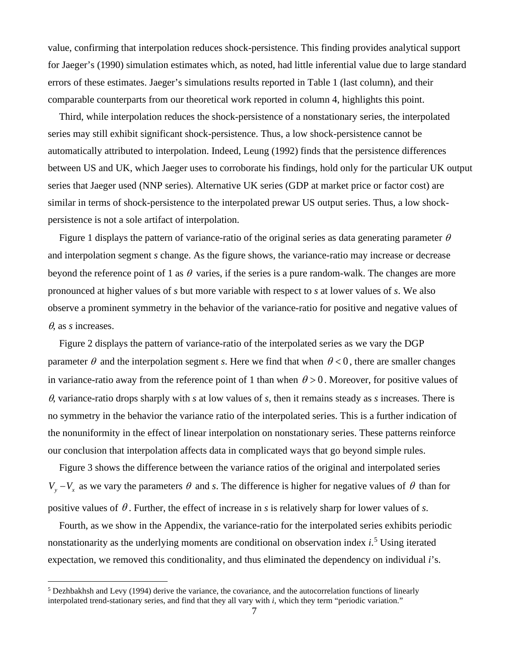value, confirming that interpolation reduces shock-persistence. This finding provides analytical support for Jaeger's (1990) simulation estimates which, as noted, had little inferential value due to large standard errors of these estimates. Jaeger's simulations results reported in Table 1 (last column), and their comparable counterparts from our theoretical work reported in column 4, highlights this point.

Third, while interpolation reduces the shock-persistence of a nonstationary series, the interpolated series may still exhibit significant shock-persistence. Thus, a low shock-persistence cannot be automatically attributed to interpolation. Indeed, Leung (1992) finds that the persistence differences between US and UK, which Jaeger uses to corroborate his findings, hold only for the particular UK output series that Jaeger used (NNP series). Alternative UK series (GDP at market price or factor cost) are similar in terms of shock-persistence to the interpolated prewar US output series. Thus, a low shockpersistence is not a sole artifact of interpolation.

Figure 1 displays the pattern of variance-ratio of the original series as data generating parameter  $\theta$ and interpolation segment *s* change. As the figure shows, the variance-ratio may increase or decrease beyond the reference point of 1 as  $\theta$  varies, if the series is a pure random-walk. The changes are more pronounced at higher values of *s* but more variable with respect to *s* at lower values of *s*. We also observe a prominent symmetry in the behavior of the variance-ratio for positive and negative values of θ, as *s* increases.

Figure 2 displays the pattern of variance-ratio of the interpolated series as we vary the DGP parameter  $\theta$  and the interpolation segment *s*. Here we find that when  $\theta < 0$ , there are smaller changes in variance-ratio away from the reference point of 1 than when  $\theta > 0$ . Moreover, for positive values of θ, variance-ratio drops sharply with *s* at low values of *s*, then it remains steady as *s* increases. There is no symmetry in the behavior the variance ratio of the interpolated series. This is a further indication of the nonuniformity in the effect of linear interpolation on nonstationary series. These patterns reinforce our conclusion that interpolation affects data in complicated ways that go beyond simple rules.

Figure 3 shows the difference between the variance ratios of the original and interpolated series  $V_y - V_x$  as we vary the parameters  $\theta$  and *s*. The difference is higher for negative values of  $\theta$  than for positive values of  $\theta$ . Further, the effect of increase in *s* is relatively sharp for lower values of *s*.

Fourth, as we show in the Appendix, the variance-ratio for the interpolated series exhibits periodic nonstationarity as the underlying moments are conditional on observation index *i*. [5](#page-7-0) Using iterated expectation, we removed this conditionality, and thus eliminated the dependency on individual *i*'s.

<span id="page-7-0"></span><sup>5</sup> Dezhbakhsh and Levy (1994) derive the variance, the covariance, and the autocorrelation functions of linearly interpolated trend-stationary series, and find that they all vary with *i*, which they term "periodic variation."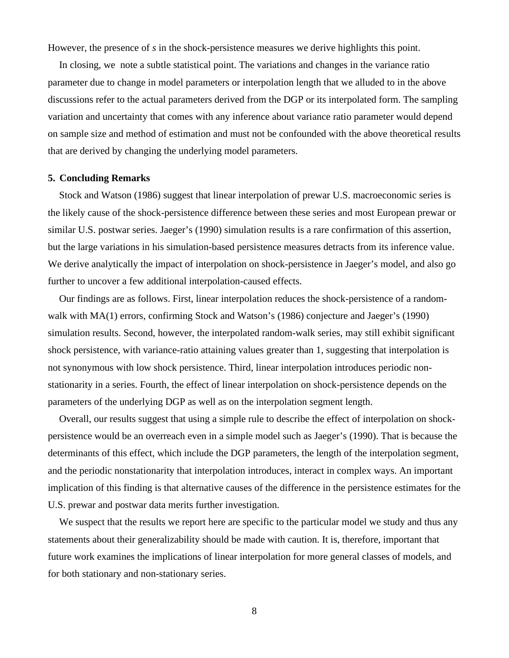However, the presence of *s* in the shock-persistence measures we derive highlights this point.

In closing, we note a subtle statistical point. The variations and changes in the variance ratio parameter due to change in model parameters or interpolation length that we alluded to in the above discussions refer to the actual parameters derived from the DGP or its interpolated form. The sampling variation and uncertainty that comes with any inference about variance ratio parameter would depend on sample size and method of estimation and must not be confounded with the above theoretical results that are derived by changing the underlying model parameters.

#### **5. Concluding Remarks**

Stock and Watson (1986) suggest that linear interpolation of prewar U.S. macroeconomic series is the likely cause of the shock-persistence difference between these series and most European prewar or similar U.S. postwar series. Jaeger's (1990) simulation results is a rare confirmation of this assertion, but the large variations in his simulation-based persistence measures detracts from its inference value. We derive analytically the impact of interpolation on shock-persistence in Jaeger's model, and also go further to uncover a few additional interpolation-caused effects.

Our findings are as follows. First, linear interpolation reduces the shock-persistence of a randomwalk with MA(1) errors, confirming Stock and Watson's (1986) conjecture and Jaeger's (1990) simulation results. Second, however, the interpolated random-walk series, may still exhibit significant shock persistence, with variance-ratio attaining values greater than 1, suggesting that interpolation is not synonymous with low shock persistence. Third, linear interpolation introduces periodic nonstationarity in a series. Fourth, the effect of linear interpolation on shock-persistence depends on the parameters of the underlying DGP as well as on the interpolation segment length.

Overall, our results suggest that using a simple rule to describe the effect of interpolation on shockpersistence would be an overreach even in a simple model such as Jaeger's (1990). That is because the determinants of this effect, which include the DGP parameters, the length of the interpolation segment, and the periodic nonstationarity that interpolation introduces, interact in complex ways. An important implication of this finding is that alternative causes of the difference in the persistence estimates for the U.S. prewar and postwar data merits further investigation.

We suspect that the results we report here are specific to the particular model we study and thus any statements about their generalizability should be made with caution. It is, therefore, important that future work examines the implications of linear interpolation for more general classes of models, and for both stationary and non-stationary series.

8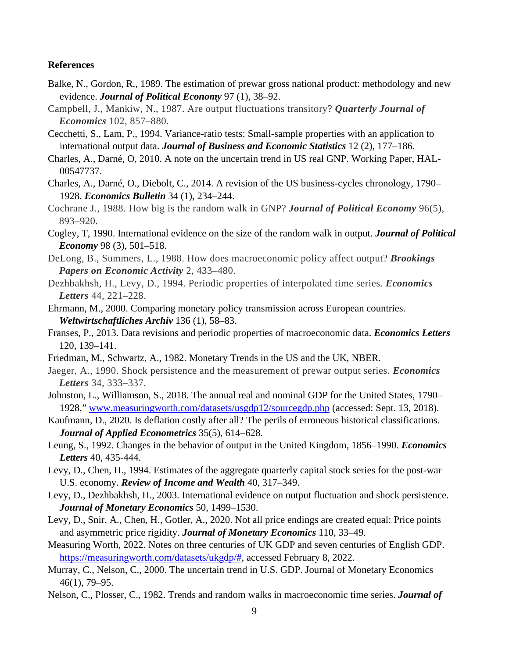#### **References**

- Balke, N., Gordon, R., 1989. The estimation of prewar gross national product: methodology and new evidence. *Journal of Political Economy* 97 (1), 38–92.
- Campbell, J., Mankiw, N., 1987. Are output fluctuations transitory? *Quarterly Journal of Economics* 102, 857–880.
- Cecchetti, S., Lam, P., 1994. Variance-ratio tests: Small-sample properties with an application to international output data. *Journal of Business and Economic Statistics* 12 (2), 177–186.
- Charles, A., Darné, O, 2010. A note on the uncertain trend in US real GNP. Working Paper, HAL-00547737.
- Charles, A., Darné, O., Diebolt, C., 2014. A revision of the US business-cycles chronology, 1790– 1928. *Economics Bulletin* 34 (1), 234–244.
- Cochrane J., 1988. How big is the random walk in GNP? *Journal of Political Economy* 96(5), 893–920.
- Cogley, T, 1990. International evidence on the size of the random walk in output. *Journal of Political Economy* 98 (3), 501–518.
- DeLong, B., Summers, L., 1988. How does macroeconomic policy affect output? *Brookings Papers on Economic Activity* 2, 433–480.
- Dezhbakhsh, H., Levy, D., 1994. Periodic properties of interpolated time series. *Economics Letters* 44, 221–228.
- Ehrmann, M., 2000. Comparing monetary policy transmission across European countries. *Weltwirtschaftliches Archiv* 136 (1), 58–83.
- Franses, P., 2013. Data revisions and periodic properties of macroeconomic data. *Economics Letters* 120, 139–141.
- Friedman, M., Schwartz, A., 1982. Monetary Trends in the US and the UK, NBER.
- Jaeger, A., 1990. Shock persistence and the measurement of prewar output series. *Economics Letters* 34, 333–337.
- Johnston, L., Williamson, S., 2018. The annual real and nominal GDP for the United States, 1790– 1928," [www.measuringworth.com/datasets/usgdp12/sourcegdp.php](http://www.measuringworth.com/datasets/usgdp12/sourcegdp.php) (accessed: Sept. 13, 2018).
- Kaufmann, D., 2020. Is deflation costly after all? The perils of erroneous historical classifications. *Journal of Applied Econometrics* 35(5), 614–628.
- Leung, S., 1992. Changes in the behavior of output in the United Kingdom, 1856–1990. *Economics Letters* 40, 435-444.
- Levy, D., Chen, H., 1994. Estimates of the aggregate quarterly capital stock series for the post-war U.S. economy. *Review of Income and Wealth* 40, 317–349.
- Levy, D., Dezhbakhsh, H., 2003. International evidence on output fluctuation and shock persistence. *Journal of Monetary Economics* 50, 1499–1530.
- Levy, D., Snir, A., Chen, H., Gotler, A., 2020. Not all price endings are created equal: Price points and asymmetric price rigidity. *Journal of Monetary Economics* 110, 33–49.
- Measuring Worth, 2022. Notes on three centuries of UK GDP and seven centuries of English GDP. [https://measuringworth.com/datasets/ukgdp/#,](https://measuringworth.com/datasets/ukgdp/) accessed February 8, 2022.
- Murray, C., Nelson, C., 2000. The uncertain trend in U.S. GDP. Journal of Monetary Economics 46(1), 79–95.
- Nelson, C., Plosser, C., 1982. Trends and random walks in macroeconomic time series. *Journal of*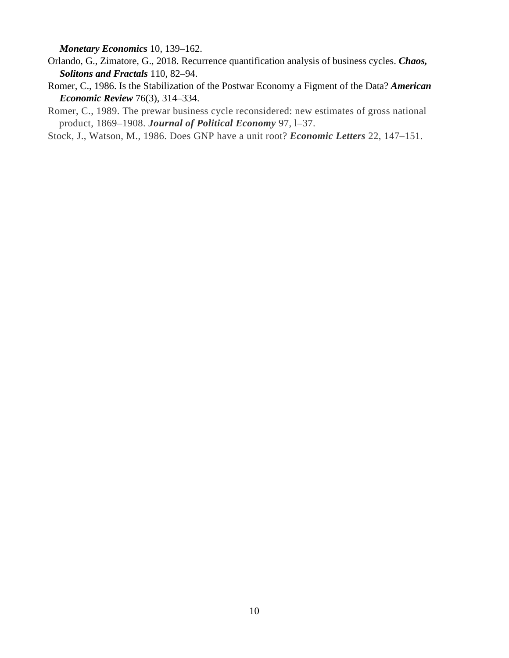*Monetary Economics* 10, 139–162.

- Orlando, G., Zimatore, G., 2018. Recurrence quantification analysis of business cycles. *Chaos, Solitons and Fractals* 110, 82–94.
- Romer, C., 1986. Is the Stabilization of the Postwar Economy a Figment of the Data? *American Economic Review* 76(3), 314–334.
- Romer, C., 1989. The prewar business cycle reconsidered: new estimates of gross national product, 1869–1908. *Journal of Political Economy* 97, l–37.

Stock, J., Watson, M., 1986. Does GNP have a unit root? *Economic Letters* 22, 147–151.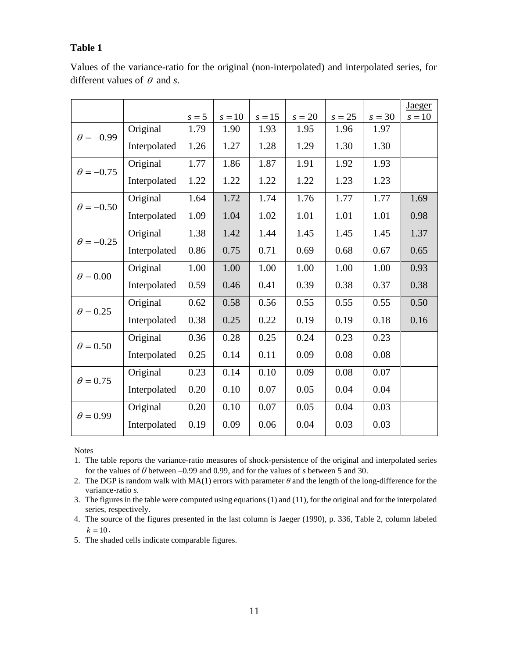### **Table 1**

|                  |              |         |          |          |          |          |          | Jaeger   |
|------------------|--------------|---------|----------|----------|----------|----------|----------|----------|
|                  |              | $s = 5$ | $s = 10$ | $s = 15$ | $s = 20$ | $s = 25$ | $s = 30$ | $s = 10$ |
| $\theta = -0.99$ | Original     | 1.79    | 1.90     | 1.93     | 1.95     | 1.96     | 1.97     |          |
|                  | Interpolated | 1.26    | 1.27     | 1.28     | 1.29     | 1.30     | 1.30     |          |
| $\theta = -0.75$ | Original     | 1.77    | 1.86     | 1.87     | 1.91     | 1.92     | 1.93     |          |
|                  | Interpolated | 1.22    | 1.22     | 1.22     | 1.22     | 1.23     | 1.23     |          |
| $\theta = -0.50$ | Original     | 1.64    | 1.72     | 1.74     | 1.76     | 1.77     | 1.77     | 1.69     |
|                  | Interpolated | 1.09    | 1.04     | 1.02     | 1.01     | 1.01     | 1.01     | 0.98     |
| $\theta = -0.25$ | Original     | 1.38    | 1.42     | 1.44     | 1.45     | 1.45     | 1.45     | 1.37     |
|                  | Interpolated | 0.86    | 0.75     | 0.71     | 0.69     | 0.68     | 0.67     | 0.65     |
| $\theta = 0.00$  | Original     | 1.00    | 1.00     | 1.00     | 1.00     | 1.00     | 1.00     | 0.93     |
|                  | Interpolated | 0.59    | 0.46     | 0.41     | 0.39     | 0.38     | 0.37     | 0.38     |
| $\theta = 0.25$  | Original     | 0.62    | 0.58     | 0.56     | 0.55     | 0.55     | 0.55     | 0.50     |
|                  | Interpolated | 0.38    | 0.25     | 0.22     | 0.19     | 0.19     | 0.18     | 0.16     |
| $\theta = 0.50$  | Original     | 0.36    | 0.28     | 0.25     | 0.24     | 0.23     | 0.23     |          |
|                  | Interpolated | 0.25    | 0.14     | 0.11     | 0.09     | 0.08     | 0.08     |          |
| $\theta = 0.75$  | Original     | 0.23    | 0.14     | 0.10     | 0.09     | 0.08     | 0.07     |          |
|                  | Interpolated | 0.20    | 0.10     | 0.07     | 0.05     | 0.04     | 0.04     |          |
| $\theta = 0.99$  | Original     | 0.20    | 0.10     | 0.07     | 0.05     | 0.04     | 0.03     |          |
|                  | Interpolated | 0.19    | 0.09     | 0.06     | 0.04     | 0.03     | 0.03     |          |

Values of the variance-ratio for the original (non-interpolated) and interpolated series, for different values of <sup>θ</sup> and *s*.

Notes

- 1. The table reports the variance-ratio measures of shock-persistence of the original and interpolated series for the values of *θ* between −0.99 and 0.99, and for the values of *s* between 5 and 30.
- 2. The DGP is random walk with MA(1) errors with parameter *θ* and the length of the long-difference for the variance-ratio *s.*
- 3. The figures in the table were computed using equations (1) and (11), for the original and for the interpolated series, respectively.
- 4. The source of the figures presented in the last column is Jaeger (1990), p. 336, Table 2, column labeled  $k = 10$ .
- 5. The shaded cells indicate comparable figures.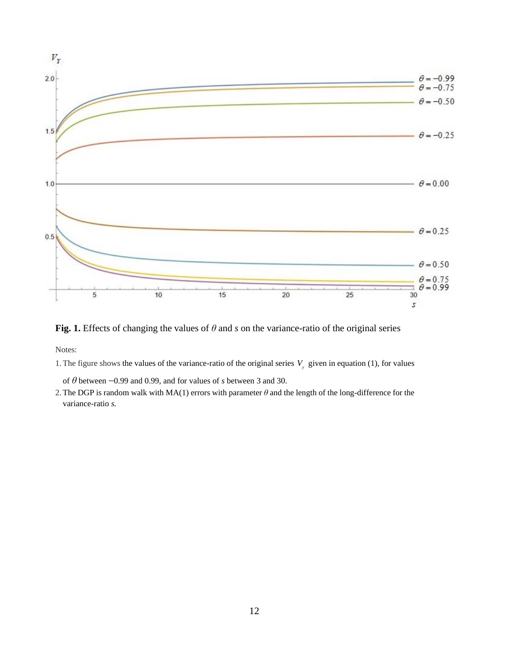

**Fig. 1.** Effects of changing the values of *θ* and *s* on the variance-ratio of the original series

Notes:

1. The figure shows the values of the variance-ratio of the original series  $V_{y}$  given in equation (1), for values

of *θ* between −0.99 and 0.99, and for values of *s* between 3 and 30.

2.The DGP is random walk with MA(1) errors with parameter *θ* and the length of the long-difference for the variance-ratio *s.*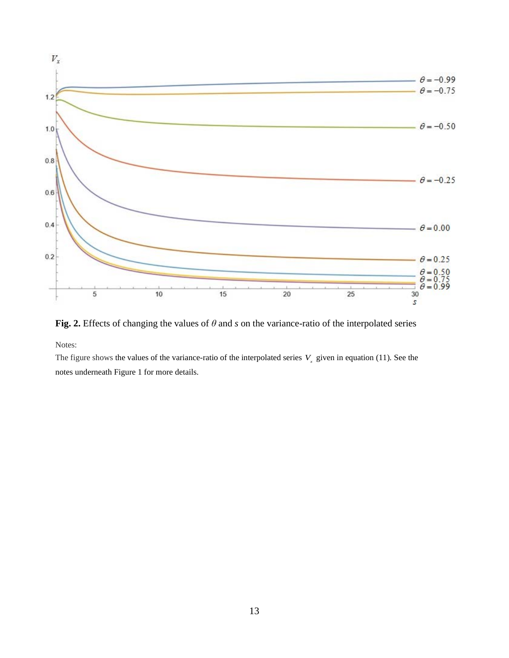

**Fig. 2.** Effects of changing the values of *θ* and *s* on the variance-ratio of the interpolated series

Notes:

The figure shows the values of the variance-ratio of the interpolated series  $V<sub>x</sub>$  given in equation (11). See the notes underneath Figure 1 for more details.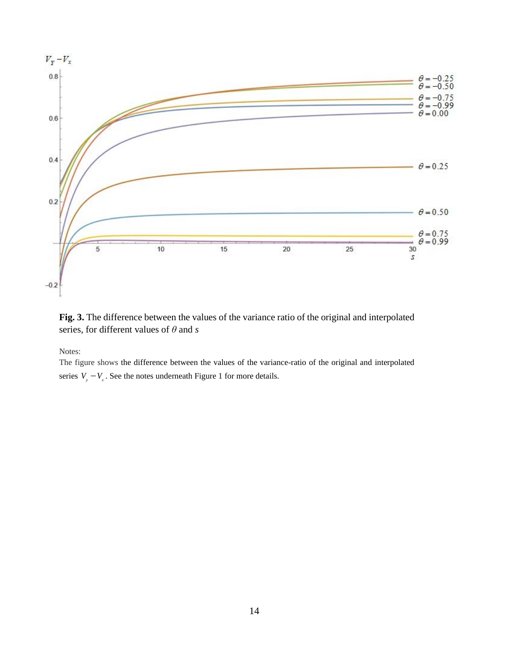

**Fig. 3.** The difference between the values of the variance ratio of the original and interpolated series, for different values of *θ* and *s*

Notes:

The figure shows the difference between the values of the variance-ratio of the original and interpolated series  $V_y - V_x$ . See the notes underneath Figure 1 for more details.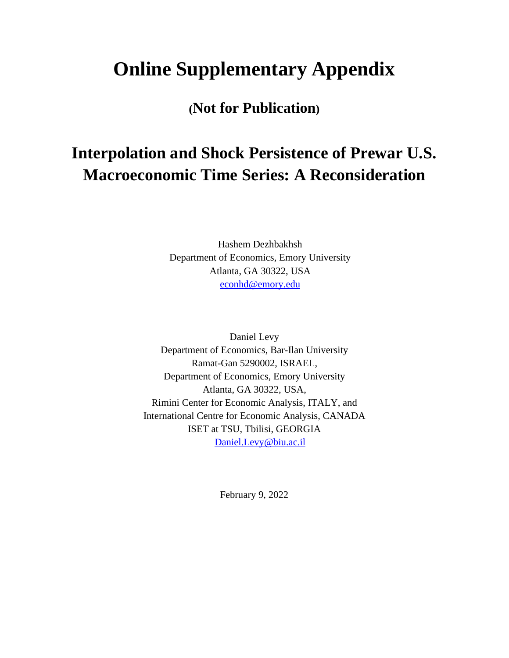# **Online Supplementary Appendix**

**(Not for Publication)**

# **Interpolation and Shock Persistence of Prewar U.S. Macroeconomic Time Series: A Reconsideration**

Hashem Dezhbakhsh Department of Economics, Emory University Atlanta, GA 30322, USA [econhd@emory.edu](mailto:econhd@emory.edu)

Daniel Levy Department of Economics, Bar-Ilan University Ramat-Gan 5290002, ISRAEL, Department of Economics, Emory University Atlanta, GA 30322, USA, Rimini Center for Economic Analysis, ITALY, and International Centre for Economic Analysis, CANADA ISET at TSU, Tbilisi, GEORGIA [Daniel.Levy@biu.ac.il](about:blank)

February 9, 2022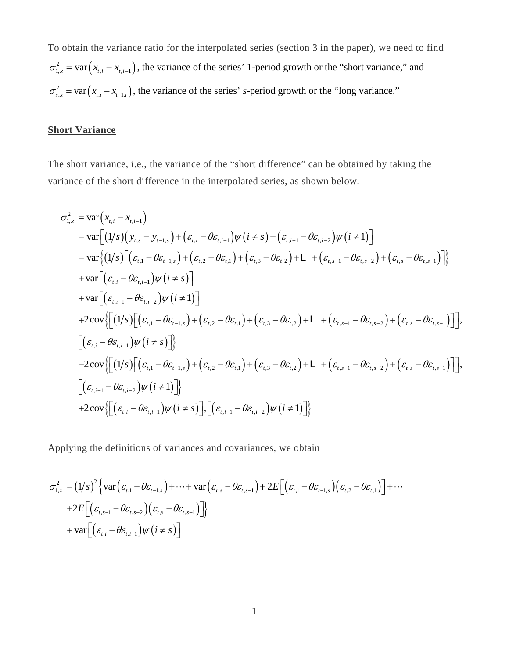To obtain the variance ratio for the interpolated series (section 3 in the paper), we need to find  $\sigma_{1,x}^2 = \text{var}(x_{t,i} - x_{t,i-1})$ , the variance of the series' 1-period growth or the "short variance," and  $\sigma_{s,x}^2 = \text{var}(x_{t,i} - x_{t-1,i})$ , the variance of the series' *s*-period growth or the "long variance."

## **Short Variance**

The short variance, i.e., the variance of the "short difference" can be obtained by taking the variance of the short difference in the interpolated series, as shown below.

$$
\sigma_{1.x}^{2} = \text{var}(x_{t,i} - x_{t,i-1})
$$
\n
$$
= \text{var}[(1/s)(y_{t,s} - y_{t-1,s}) + (\varepsilon_{t,i} - \theta \varepsilon_{t,i-1})\psi(i \neq s) - (\varepsilon_{t,i-1} - \theta \varepsilon_{t,i-2})\psi(i \neq 1)]
$$
\n
$$
= \text{var}[(1/s)[(\varepsilon_{t,1} - \theta \varepsilon_{t-1,s}) + (\varepsilon_{t,2} - \theta \varepsilon_{t,1}) + (\varepsilon_{t,3} - \theta \varepsilon_{t,2}) + L + (\varepsilon_{t,s-1} - \theta \varepsilon_{t,s-2}) + (\varepsilon_{t,s} - \theta \varepsilon_{t,s-1})]\}
$$
\n
$$
+ \text{var}[(\varepsilon_{t,i} - \theta \varepsilon_{t,i-1})\psi(i \neq s)]
$$
\n
$$
+ \text{var}[(\varepsilon_{t,i-1} - \theta \varepsilon_{t,i-2})\psi(i \neq 1)]
$$
\n
$$
+ 2\text{cov}\{[(1/s)[(\varepsilon_{t,1} - \theta \varepsilon_{t-1,s}) + (\varepsilon_{t,2} - \theta \varepsilon_{t,1}) + (\varepsilon_{t,3} - \theta \varepsilon_{t,2}) + L + (\varepsilon_{t,s-1} - \theta \varepsilon_{t,s-2}) + (\varepsilon_{t,s} - \theta \varepsilon_{t,s-1})]\},
$$
\n
$$
[(\varepsilon_{t,i} - \theta \varepsilon_{t,i-1})\psi(i \neq s)]\}
$$
\n
$$
- 2\text{cov}\{[(1/s)[(\varepsilon_{t,1} - \theta \varepsilon_{t-1,s}) + (\varepsilon_{t,2} - \theta \varepsilon_{t,1}) + (\varepsilon_{t,3} - \theta \varepsilon_{t,2}) + L + (\varepsilon_{t,s-1} - \theta \varepsilon_{t,s-2}) + (\varepsilon_{t,s} - \theta \varepsilon_{t,s-1})]\},
$$
\n
$$
[(\varepsilon_{t,i-1} - \theta \varepsilon_{t,i-2})\psi(i \neq 1)]\}
$$
\n
$$
+ 2\text{cov}\{[(\varepsilon_{t,i} - \theta \varepsilon_{t,i-1})\psi
$$

Applying the definitions of variances and covariances, we obtain

$$
\sigma_{1,x}^{2} = (1/s)^{2} \left\{ \text{var} \left( \varepsilon_{t,1} - \theta \varepsilon_{t-1,s} \right) + \dots + \text{var} \left( \varepsilon_{t,s} - \theta \varepsilon_{t,s-1} \right) + 2E \Big[ \left( \varepsilon_{t,1} - \theta \varepsilon_{t-1,s} \right) \left( \varepsilon_{t,2} - \theta \varepsilon_{t,1} \right) \Big] + \dots + 2E \Big[ \left( \varepsilon_{t,s-1} - \theta \varepsilon_{t,s-2} \right) \left( \varepsilon_{t,s} - \theta \varepsilon_{t,s-1} \right) \Big] \Big\}
$$
  
+ 
$$
\text{var} \Big[ \left( \varepsilon_{t,i} - \theta \varepsilon_{t,i-1} \right) \psi \left( i \neq s \right) \Big]
$$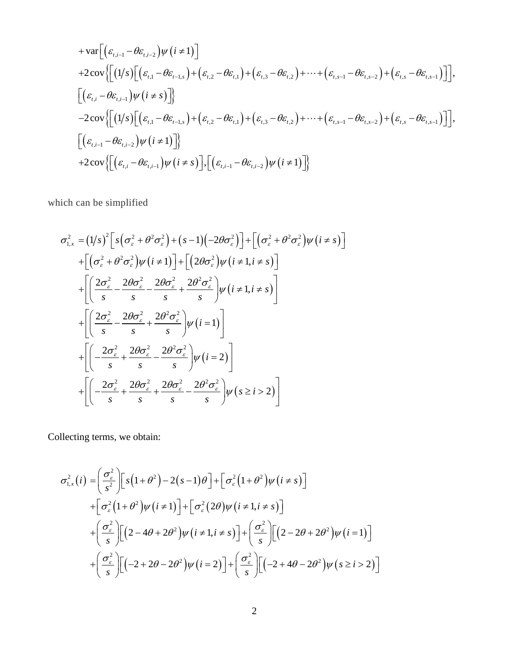$$
+ var \left[ \left( \varepsilon_{t,i-1} - \theta \varepsilon_{t,i-2} \right) \psi \left( i \neq 1 \right) \right]
$$
  
+2cov \left\{ \left[ \left( 1/s \right) \left[ \left( \varepsilon\_{t,1} - \theta \varepsilon\_{t-1,s} \right) + \left( \varepsilon\_{t,2} - \theta \varepsilon\_{t,1} \right) + \left( \varepsilon\_{t,3} - \theta \varepsilon\_{t,2} \right) + \dots + \left( \varepsilon\_{t,s-1} - \theta \varepsilon\_{t,s-2} \right) + \left( \varepsilon\_{t,s} - \theta \varepsilon\_{t,s-1} \right) \right] \right],  

$$
\left[ \left( \varepsilon_{t,i} - \theta \varepsilon_{t,i-1} \right) \psi \left( i \neq s \right) \right] \right\}
$$
  
-2cov \left\{ \left[ \left( 1/s \right) \left[ \left( \varepsilon\_{t,1} - \theta \varepsilon\_{t-1,s} \right) + \left( \varepsilon\_{t,2} - \theta \varepsilon\_{t,1} \right) + \left( \varepsilon\_{t,3} - \theta \varepsilon\_{t,2} \right) + \dots + \left( \varepsilon\_{t,s-1} - \theta \varepsilon\_{t,s-2} \right) + \left( \varepsilon\_{t,s} - \theta \varepsilon\_{t,s-1} \right) \right] \right],  

$$
\left[ \left( \varepsilon_{t,i-1} - \theta \varepsilon_{t,i-2} \right) \psi \left( i \neq 1 \right) \right] \right\}
$$
  
+2cov \left\{ \left[ \left( \varepsilon\_{t,i} - \theta \varepsilon\_{t,i-1} \right) \psi \left( i \neq s \right) \right], \left[ \left( \varepsilon\_{t,i-1} - \theta \varepsilon\_{t,i-2} \right) \psi \left( i \neq 1 \right) \right] \right\}

which can be simplified

$$
\sigma_{1,x}^{2} = (1/s)^{2} \left[ s \left( \sigma_{\varepsilon}^{2} + \theta^{2} \sigma_{\varepsilon}^{2} \right) + (s - 1) \left( -2 \theta \sigma_{\varepsilon}^{2} \right) \right] + \left[ \left( \sigma_{\varepsilon}^{2} + \theta^{2} \sigma_{\varepsilon}^{2} \right) \psi \left( i \neq s \right) \right]
$$
  
+ 
$$
\left[ \left( \sigma_{\varepsilon}^{2} + \theta^{2} \sigma_{\varepsilon}^{2} \right) \psi \left( i \neq 1 \right) \right] + \left[ \left( 2 \theta \sigma_{\varepsilon}^{2} \right) \psi \left( i \neq 1, i \neq s \right) \right]
$$
  
+ 
$$
\left[ \left( \frac{2 \sigma_{\varepsilon}^{2}}{s} - \frac{2 \theta \sigma_{\varepsilon}^{2}}{s} - \frac{2 \theta \sigma_{\varepsilon}^{2}}{s} + \frac{2 \theta^{2} \sigma_{\varepsilon}^{2}}{s} \right) \psi \left( i \neq 1, i \neq s \right) \right]
$$
  
+ 
$$
\left[ \left( \frac{2 \sigma_{\varepsilon}^{2}}{s} - \frac{2 \theta \sigma_{\varepsilon}^{2}}{s} + \frac{2 \theta^{2} \sigma_{\varepsilon}^{2}}{s} \right) \psi \left( i = 1 \right) \right]
$$
  
+ 
$$
\left[ \left( -\frac{2 \sigma_{\varepsilon}^{2}}{s} + \frac{2 \theta \sigma_{\varepsilon}^{2}}{s} - \frac{2 \theta^{2} \sigma_{\varepsilon}^{2}}{s} \right) \psi \left( i = 2 \right) \right]
$$
  
+ 
$$
\left[ \left( -\frac{2 \sigma_{\varepsilon}^{2}}{s} + \frac{2 \theta \sigma_{\varepsilon}^{2}}{s} + \frac{2 \theta \sigma_{\varepsilon}^{2}}{s} - \frac{2 \theta^{2} \sigma_{\varepsilon}^{2}}{s} \right) \psi \left( s \geq i \geq 2 \right) \right]
$$

Collecting terms, we obtain:

$$
\sigma_{1,x}^{2}(i) = \left(\frac{\sigma_{\varepsilon}^{2}}{s^{2}}\right) \left[s\left(1+\theta^{2}\right)-2\left(s-1\right)\theta\right]+\left[\sigma_{\varepsilon}^{2}\left(1+\theta^{2}\right)\psi\left(i\neq s\right)\right]
$$
  
+
$$
\left[\sigma_{\varepsilon}^{2}\left(1+\theta^{2}\right)\psi\left(i\neq 1\right)\right]+\left[\sigma_{\varepsilon}^{2}\left(2\theta\right)\psi\left(i\neq 1,i\neq s\right)\right]
$$
  
+
$$
\left(\frac{\sigma_{\varepsilon}^{2}}{s}\right)\left[\left(2-4\theta+2\theta^{2}\right)\psi\left(i\neq 1,i\neq s\right)\right]+\left(\frac{\sigma_{\varepsilon}^{2}}{s}\right)\left[\left(2-2\theta+2\theta^{2}\right)\psi\left(i=1\right)\right]
$$
  
+
$$
\left(\frac{\sigma_{\varepsilon}^{2}}{s}\right)\left[\left(-2+2\theta-2\theta^{2}\right)\psi\left(i=2\right)\right]+\left(\frac{\sigma_{\varepsilon}^{2}}{s}\right)\left[\left(-2+4\theta-2\theta^{2}\right)\psi\left(s\geq i>2\right)\right]
$$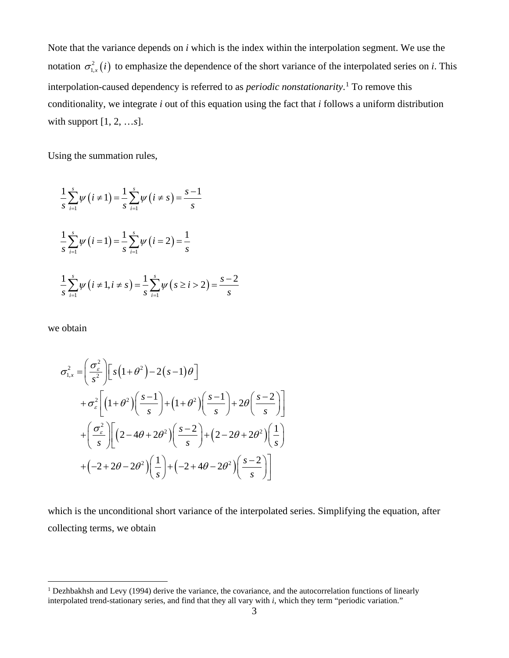Note that the variance depends on *i* which is the index within the interpolation segment. We use the notation  $\sigma_{1,x}^2(i)$  to emphasize the dependence of the short variance of the interpolated series on *i*. This interpolation-caused dependency is referred to as *periodic nonstationarity*. [1](#page-18-0) To remove this conditionality, we integrate *i* out of this equation using the fact that *i* follows a uniform distribution with support [1, 2, …*s*].

Using the summation rules,

$$
\frac{1}{s} \sum_{i=1}^{s} \psi(i \neq 1) = \frac{1}{s} \sum_{i=1}^{s} \psi(i \neq s) = \frac{s-1}{s}
$$
  

$$
\frac{1}{s} \sum_{i=1}^{s} \psi(i = 1) = \frac{1}{s} \sum_{i=1}^{s} \psi(i = 2) = \frac{1}{s}
$$
  

$$
\frac{1}{s} \sum_{i=1}^{s} \psi(i \neq 1, i \neq s) = \frac{1}{s} \sum_{i=1}^{s} \psi(s \geq i > 2) = \frac{s-2}{s}
$$

we obtain

$$
\sigma_{1,x}^{2} = \left(\frac{\sigma_{\varepsilon}^{2}}{s^{2}}\right) \left[ s\left(1+\theta^{2}\right) - 2\left(s-1\right)\theta \right]
$$
  
+  $\sigma_{\varepsilon}^{2} \left[ \left(1+\theta^{2}\right) \left(\frac{s-1}{s}\right) + \left(1+\theta^{2}\right) \left(\frac{s-1}{s}\right) + 2\theta \left(\frac{s-2}{s}\right) \right]$   
+  $\left(\frac{\sigma_{\varepsilon}^{2}}{s}\right) \left[ \left(2-4\theta+2\theta^{2}\right) \left(\frac{s-2}{s}\right) + \left(2-2\theta+2\theta^{2}\right) \left(\frac{1}{s}\right) \right]$   
+  $\left(-2+2\theta-2\theta^{2}\right) \left(\frac{1}{s}\right) + \left(-2+4\theta-2\theta^{2}\right) \left(\frac{s-2}{s}\right) \right]$ 

which is the unconditional short variance of the interpolated series. Simplifying the equation, after collecting terms, we obtain

<span id="page-18-0"></span><sup>&</sup>lt;sup>1</sup> Dezhbakhsh and Levy (1994) derive the variance, the covariance, and the autocorrelation functions of linearly interpolated trend-stationary series, and find that they all vary with *i*, which they term "periodic variation."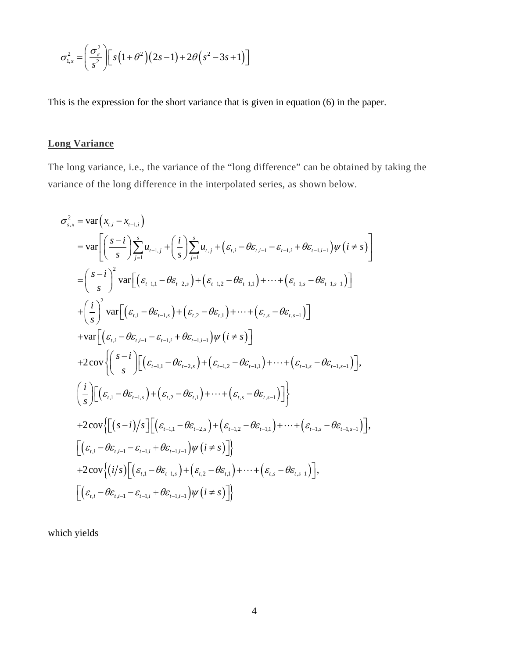$$
\sigma_{1,x}^2 = \left(\frac{\sigma_{\varepsilon}^2}{s^2}\right) \left[s\left(1+\theta^2\right)\left(2s-1\right)+2\theta\left(s^2-3s+1\right)\right]
$$

This is the expression for the short variance that is given in equation (6) in the paper.

## **Long Variance**

The long variance, i.e., the variance of the "long difference" can be obtained by taking the variance of the long difference in the interpolated series, as shown below.

$$
\sigma_{s,x}^{2} = \text{var}\left(x_{t,i} - x_{t-1,i}\right)
$$
\n
$$
= \text{var}\left[\left(\frac{s-i}{s}\right) \sum_{j=1}^{s} u_{t-1,j} + \left(\frac{i}{s}\right) \sum_{j=1}^{s} u_{t,j} + \left(\varepsilon_{t,i} - \theta \varepsilon_{t,i-1} - \varepsilon_{t-1,i} + \theta \varepsilon_{t-1,i-1}\right) \psi\left(i \neq s\right)\right]
$$
\n
$$
= \left(\frac{s-i}{s}\right)^{2} \text{var}\left[\left(\varepsilon_{t-1,1} - \theta \varepsilon_{t-2,s}\right) + \left(\varepsilon_{t-1,2} - \theta \varepsilon_{t-1,1}\right) + \dots + \left(\varepsilon_{t-1,s} - \theta \varepsilon_{t-1,s-1}\right)\right]
$$
\n
$$
+ \left(\frac{i}{s}\right)^{2} \text{var}\left[\left(\varepsilon_{t,i} - \theta \varepsilon_{t-1,s}\right) + \left(\varepsilon_{t,2} - \theta \varepsilon_{t,i}\right) + \dots + \left(\varepsilon_{t,s} - \theta \varepsilon_{t,s-1}\right)\right]
$$
\n
$$
+ \text{var}\left[\left(\varepsilon_{t,i} - \theta \varepsilon_{t,i-1} - \varepsilon_{t-1,i} + \theta \varepsilon_{t-1,i-1}\right) \psi\left(i \neq s\right)\right]
$$
\n
$$
+ 2 \text{cov}\left\{\left(\frac{s-i}{s}\right) \left[\left(\varepsilon_{t-1,1} - \theta \varepsilon_{t-2,s}\right) + \left(\varepsilon_{t-1,2} - \theta \varepsilon_{t-1,1}\right) + \dots + \left(\varepsilon_{t-1,s} - \theta \varepsilon_{t-1,s-1}\right)\right],
$$
\n
$$
\left(\frac{i}{s}\right) \left[\left(\varepsilon_{t,i} - \theta \varepsilon_{t-1,s}\right) + \left(\varepsilon_{t,2} - \theta \varepsilon_{t,i}\right) + \dots + \left(\varepsilon_{t,s} - \theta \varepsilon_{t,s-1}\right)\right]\right\}
$$
\n
$$
+ 2 \text{cov}\left\{\left[\left(s-i\right)/s\right] \left[\left(\varepsilon_{t-1,1} - \
$$

which yields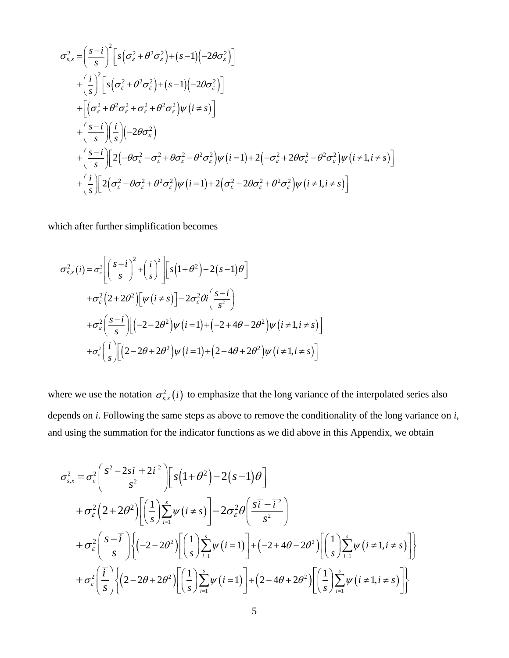$$
\sigma_{s,x}^{2} = \left(\frac{s-i}{s}\right)^{2} \left[s\left(\sigma_{\varepsilon}^{2} + \theta^{2}\sigma_{\varepsilon}^{2}\right) + (s-1)\left(-2\theta\sigma_{\varepsilon}^{2}\right)\right] \n+ \left(\frac{i}{s}\right)^{2} \left[s\left(\sigma_{\varepsilon}^{2} + \theta^{2}\sigma_{\varepsilon}^{2}\right) + (s-1)\left(-2\theta\sigma_{\varepsilon}^{2}\right)\right] \n+ \left[\left(\sigma_{\varepsilon}^{2} + \theta^{2}\sigma_{\varepsilon}^{2} + \sigma_{\varepsilon}^{2} + \theta^{2}\sigma_{\varepsilon}^{2}\right)\psi\left(i \neq s\right)\right] \n+ \left(\frac{s-i}{s}\right)\left(\frac{i}{s}\right)\left(-2\theta\sigma_{\varepsilon}^{2}\right) \n+ \left(\frac{s-i}{s}\right)\left[2\left(-\theta\sigma_{\varepsilon}^{2} - \sigma_{\varepsilon}^{2} + \theta\sigma_{\varepsilon}^{2} - \theta^{2}\sigma_{\varepsilon}^{2}\right)\psi\left(i = 1\right) + 2\left(-\sigma_{\varepsilon}^{2} + 2\theta\sigma_{\varepsilon}^{2} - \theta^{2}\sigma_{\varepsilon}^{2}\right)\psi\left(i \neq 1, i \neq s\right)\right] \n+ \left(\frac{i}{s}\right)\left[2\left(\sigma_{\varepsilon}^{2} - \theta\sigma_{\varepsilon}^{2} + \theta^{2}\sigma_{\varepsilon}^{2}\right)\psi\left(i = 1\right) + 2\left(\sigma_{\varepsilon}^{2} - 2\theta\sigma_{\varepsilon}^{2} + \theta^{2}\sigma_{\varepsilon}^{2}\right)\psi\left(i \neq 1, i \neq s\right)\right]
$$

which after further simplification becomes

$$
\sigma_{s,x}^{2}(i) = \sigma_{s}^{2} \left[ \left( \frac{s-i}{s} \right)^{2} + \left( \frac{i}{s} \right)^{2} \right] \left[ s \left( 1 + \theta^{2} \right) - 2 \left( s - 1 \right) \theta \right]
$$
  
+
$$
\sigma_{\epsilon}^{2} \left( 2 + 2\theta^{2} \right) \left[ \psi \left( i \neq s \right) \right] - 2\sigma_{\epsilon}^{2} \theta i \left( \frac{s-i}{s^{2}} \right)
$$
  
+
$$
\sigma_{\epsilon}^{2} \left( \frac{s-i}{s} \right) \left[ \left( -2 - 2\theta^{2} \right) \psi \left( i = 1 \right) + \left( -2 + 4\theta - 2\theta^{2} \right) \psi \left( i \neq 1, i \neq s \right) \right]
$$
  
+
$$
\sigma_{\epsilon}^{2} \left( \frac{i}{s} \right) \left[ \left( 2 - 2\theta + 2\theta^{2} \right) \psi \left( i = 1 \right) + \left( 2 - 4\theta + 2\theta^{2} \right) \psi \left( i \neq 1, i \neq s \right) \right]
$$

where we use the notation  $\sigma_{s,x}^2(i)$  to emphasize that the long variance of the interpolated series also depends on *i*. Following the same steps as above to remove the conditionality of the long variance on *i*, and using the summation for the indicator functions as we did above in this Appendix, we obtain

$$
\sigma_{s,x}^{2} = \sigma_{\varepsilon}^{2} \left( \frac{s^{2} - 2s\overline{i} + 2\overline{i}^{2}}{s^{2}} \right) \left[ s\left(1 + \theta^{2}\right) - 2\left(s - 1\right)\theta \right]
$$
  
+  $\sigma_{\varepsilon}^{2} \left(2 + 2\theta^{2}\right) \left[ \left(\frac{1}{s}\right) \sum_{i=1}^{s} \psi\left(i \neq s\right) \right] - 2\sigma_{\varepsilon}^{2} \theta \left( \frac{s\overline{i} - \overline{i}^{2}}{s^{2}} \right)$   
+  $\sigma_{\varepsilon}^{2} \left( \frac{s - \overline{i}}{s} \right) \left\{ \left(-2 - 2\theta^{2}\right) \left[ \left(\frac{1}{s}\right) \sum_{i=1}^{s} \psi\left(i = 1\right) \right] + \left(-2 + 4\theta - 2\theta^{2}\right) \left[ \left(\frac{1}{s}\right) \sum_{i=1}^{s} \psi\left(i \neq 1, i \neq s\right) \right] \right\}$   
+  $\sigma_{\varepsilon}^{2} \left( \frac{\overline{i}}{s} \right) \left\{ \left(2 - 2\theta + 2\theta^{2}\right) \left[ \left(\frac{1}{s}\right) \sum_{i=1}^{s} \psi\left(i = 1\right) \right] + \left(2 - 4\theta + 2\theta^{2}\right) \left[ \left(\frac{1}{s}\right) \sum_{i=1}^{s} \psi\left(i \neq 1, i \neq s\right) \right] \right\}$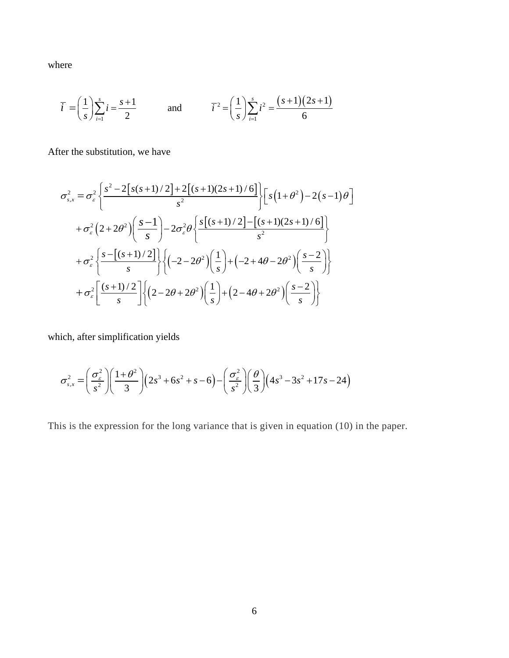where

$$
\overline{i} = \left(\frac{1}{s}\right) \sum_{i=1}^{s} i = \frac{s+1}{2}
$$
 and  $\overline{i}^2 = \left(\frac{1}{s}\right) \sum_{i=1}^{s} i^2 = \frac{(s+1)(2s+1)}{6}$ 

After the substitution, we have

$$
\sigma_{s,x}^{2} = \sigma_{\varepsilon}^{2} \left\{ \frac{s^{2} - 2[s(s+1)/2] + 2[(s+1)(2s+1)/6]}{s^{2}} \right\} \left[ s(1+\theta^{2}) - 2(s-1)\theta \right]
$$
  
+  $\sigma_{\varepsilon}^{2} (2+2\theta^{2}) \left( \frac{s-1}{s} \right) - 2\sigma_{\varepsilon}^{2} \theta \left\{ \frac{s[(s+1)/2] - [(s+1)(2s+1)/6]}{s^{2}} \right\}$   
+  $\sigma_{\varepsilon}^{2} \left\{ \frac{s - [(s+1)/2]}{s} \right\} \left\{ (-2-2\theta^{2}) \left( \frac{1}{s} \right) + (-2+4\theta - 2\theta^{2}) \left( \frac{s-2}{s} \right) \right\}$   
+  $\sigma_{\varepsilon}^{2} \left[ \frac{(s+1)/2}{s} \right] \left\{ (2-2\theta + 2\theta^{2}) \left( \frac{1}{s} \right) + (2-4\theta + 2\theta^{2}) \left( \frac{s-2}{s} \right) \right\}$ 

which, after simplification yields

$$
\sigma_{s,x}^{2} = \left(\frac{\sigma_{\varepsilon}^{2}}{s^{2}}\right) \left(\frac{1+\theta^{2}}{3}\right) \left(2s^{3} + 6s^{2} + s - 6\right) - \left(\frac{\sigma_{\varepsilon}^{2}}{s^{2}}\right) \left(\frac{\theta}{3}\right) \left(4s^{3} - 3s^{2} + 17s - 24\right)
$$

This is the expression for the long variance that is given in equation (10) in the paper.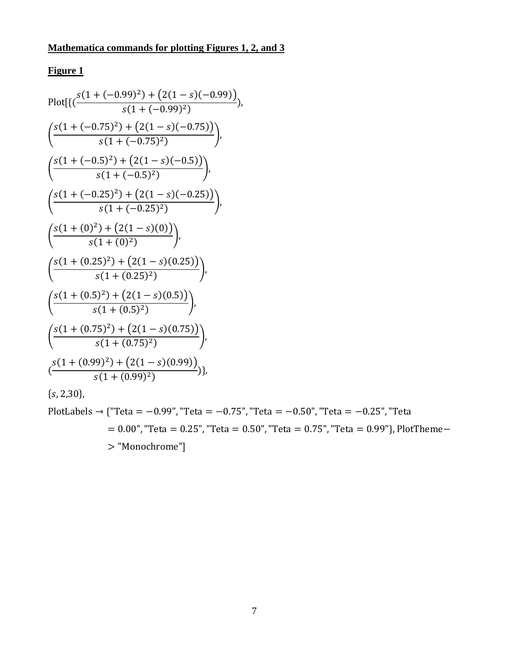# **Figure 1**

Plot[
$$
\left\{ \frac{s(1 + (-0.99)^2) + (2(1 - s)(-0.99))}{s(1 + (-0.99)^2} \right\}
$$
,  
\n $\left\{ \frac{s(1 + (-0.75)^2) + (2(1 - s)(-0.75))}{s(1 + (-0.75)^2} \right\}$ ,  
\n $\left\{ \frac{s(1 + (-0.5)^2) + (2(1 - s)(-0.5))}{s(1 + (-0.5)^2} \right\}$ ,  
\n $\left\{ \frac{s(1 + (-0.25)^2) + (2(1 - s)(-0.25))}{s(1 + (-0.25)^2} \right\}$ ,  
\n $\left\{ \frac{s(1 + (0)^2) + (2(1 - s)(0))}{s(1 + (0)^2)} \right\}$ ,  
\n $\left\{ \frac{s(1 + (0.25)^2) + (2(1 - s)(0.25))}{s(1 + (0.25)^2)} \right\}$ ,  
\n $\left\{ \frac{s(1 + (0.5)^2) + (2(1 - s)(0.5))}{s(1 + (0.5)^2)} \right\}$ ,  
\n $\left\{ \frac{s(1 + (0.75)^2) + (2(1 - s)(0.75))}{s(1 + (0.75)^2)} \right\}$ ,  
\n $\left\{ \frac{s(1 + (0.99)^2) + (2(1 - s)(0.99))}{s(1 + (0.99)^2)} \right\}$ ,  
\n $\left\{ \frac{s(1 + (0.99)^2) + (2(1 - s)(0.99))}{s(1 + (0.99)^2)} \right\}$ ,

 $\{s, 2, 30\},\$ 

PlotLabels → {"Teta = -0.99", "Teta = -0.75", "Teta = -0.50", "Teta = -0.25", "Teta  $= 0.00$ ", "Teta = 0.25", "Teta = 0.50", "Teta = 0.75", "Teta = 0.99"}, PlotTheme-> "Monochrome"]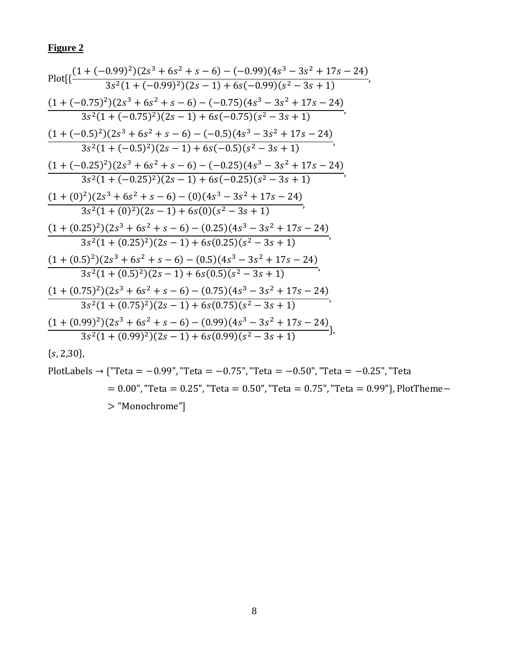# **Figure 2**

$$
\begin{array}{l} \text{Plot}[\{\frac{(1+(-0.99)^2)(2s^3+6s^2+s-6)-(-0.99)(4s^3-3s^2+17s-24)}{3s^2(1+(-0.99)^2)(2s-1)+6s(-0.99)(s^2-3s+1)}, \\ \frac{(1+(-0.75)^2)(2s^3+6s^2+s-6)-(-0.75)(4s^3-3s^2+17s-24)}{3s^2(1+(-0.75)^2)(2s-1)+6s(-0.75)(s^2-3s+1)}, \\ \frac{(1+(-0.5)^2)(2s^3+6s^2+s-6)-(-0.5)(4s^3-3s^2+17s-24)}{3s^2(1+(-0.5)^2)(2s-1)+6s(-0.5)(s^2-3s+1)}, \\ \frac{(1+(-0.25)^2)(2s^3+6s^2+s-6)-(-0.25)(4s^3-3s^2+17s-24)}{3s^2(1+(-0.25)^2)(2s-1)+6s(-0.25)(s^2-3s+1)}, \\ \frac{(1+(0)^2)(2s^3+6s^2+s-6)-(0)(4s^3-3s^2+17s-24)}{3s^2(1+0)^2)(2s-1)+6s(0)(s^2-3s+1)}, \\ \frac{(1+(0.25)^2)(2s^3+6s^2+s-6)-(0.25)(4s^3-3s^2+17s-24)}{3s^2(1+0.25)^2)(2s-1)+6s(0.25)(s^2-3s+1)}, \\ \frac{(1+(0.5)^2)(2s^3+6s^2+s-6)-(0.5)(4s^3-3s^2+17s-24)}{3s^2(1+0.5)^2)(2s-1)+6s(0.5)(s^2-3s+1)}, \\ \frac{(1+(0.75)^2)(2s^3+6s^2+s-6)-(0.75)(4s^3-3s^2+17s-24)}{3s^2(1+0.75)^2)(2s-1)+6s(0.75)(s^2-3s+1)}, \\ \frac{(1+(0.99)^2)(2s^3+6s^2+s-6)-(0.99)(4s^3-3s^2+17s-24)}{3s^2(1+0.99)^2)(2s-1)+6s(
$$

 $\{s, 2, 30\},\$ 

PlotLabels → {'Teta = 
$$
-0.99
$$
", "Teta =  $-0.75$ ", "Teta =  $-0.50$ ", "Teta =  $-0.25$ ", "Teta =  $0.00$ ", "Teta =  $0.25$ ", "Teta =  $0.50$ ", "Teta =  $0.75$ ", "Teta =  $0.99$ "}, PlotTheme-> "Monochrome"]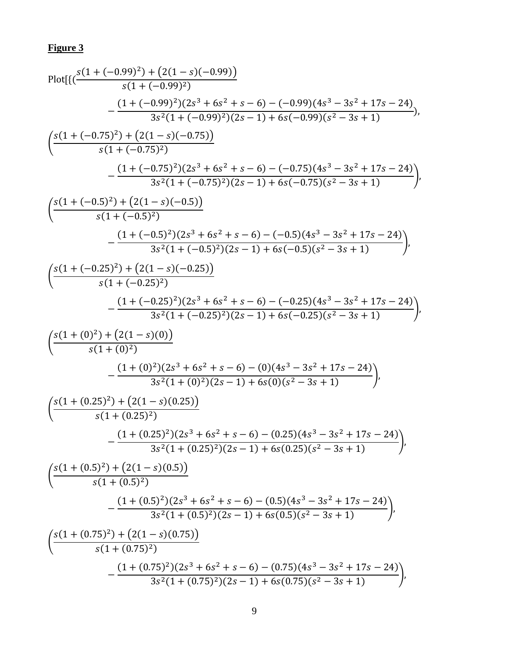# **Figure 3**

Plot[
$$
\{\frac{s(1+(-0.99)^2)+(2(1-s)(-0.99))}{s(1+(-0.99)^2\}} - \frac{(1+(-0.99)^2)(2s^3+6s^2+s-6)-(-0.99)(4s^3-3s^2+17s-24)}{3s^2(1+(-0.99)^2)(2s-1)+6s(-0.99)(s^2-3s+1)})\}
$$
  
\n $\left(\frac{s(1+(-0.75)^2)+(2(1-s)(-0.75))}{s(1+(-0.75)^2\right)}$   
\n $\left. - \frac{(1+(-0.75)^2)(2s^3+6s^2+s-6)-(-0.75)(4s^3-3s^2+17s-24)}{3s^2(1+(-0.75)^2)(2s-1)+6s(-0.75)(s^2-3s+1)}\right)$   
\n $\left(\frac{s(1+(-0.5)^2)+(2(1-s)(-0.5))}{s(1+(-0.5)^2\right)$   
\n $\left. - \frac{(1+(-0.5)^2)(2s^3+6s^2+s-6)-(-0.5)(4s^3-3s^2+17s-24)}{3s^2(1+(-0.5)^2)(2s-1)+6s(-0.5)(s^2-3s+1)}\right)$   
\n $\left(\frac{s(1+(-0.25)^2)+(2(1-s)(-0.25))}{s(1+(-0.25)^2\right)$   
\n $\left. - \frac{(1+(-0.25)^2)(2s^3+6s^2+s-6)-(-0.25)(4s^3-3s^2+17s-24)}{3s^2(1+(-0.25)^2)(2s-1)+6s(-0.25)(s^2-3s+1)}\right)$   
\n $\left(\frac{s(1+(0)^2)+(2(1-s)(0))}{s(1+(-0)^2\right)}$   
\n $\left. - \frac{(1+(0)^2)(2s^3+6s^2+s-6)-(0)(4s^3-3s^2+17s-24)}{3s^2(1+(-0)^2)(2s-1)+6s(0)(s^2-3s+1)}\right)$   
\n $\left(\frac{s(1+(0.25)^2)+(2(1-s)(0.25))}{s(1+(-0.25)^2\right)}$   
\n $\left. - \frac{(1$